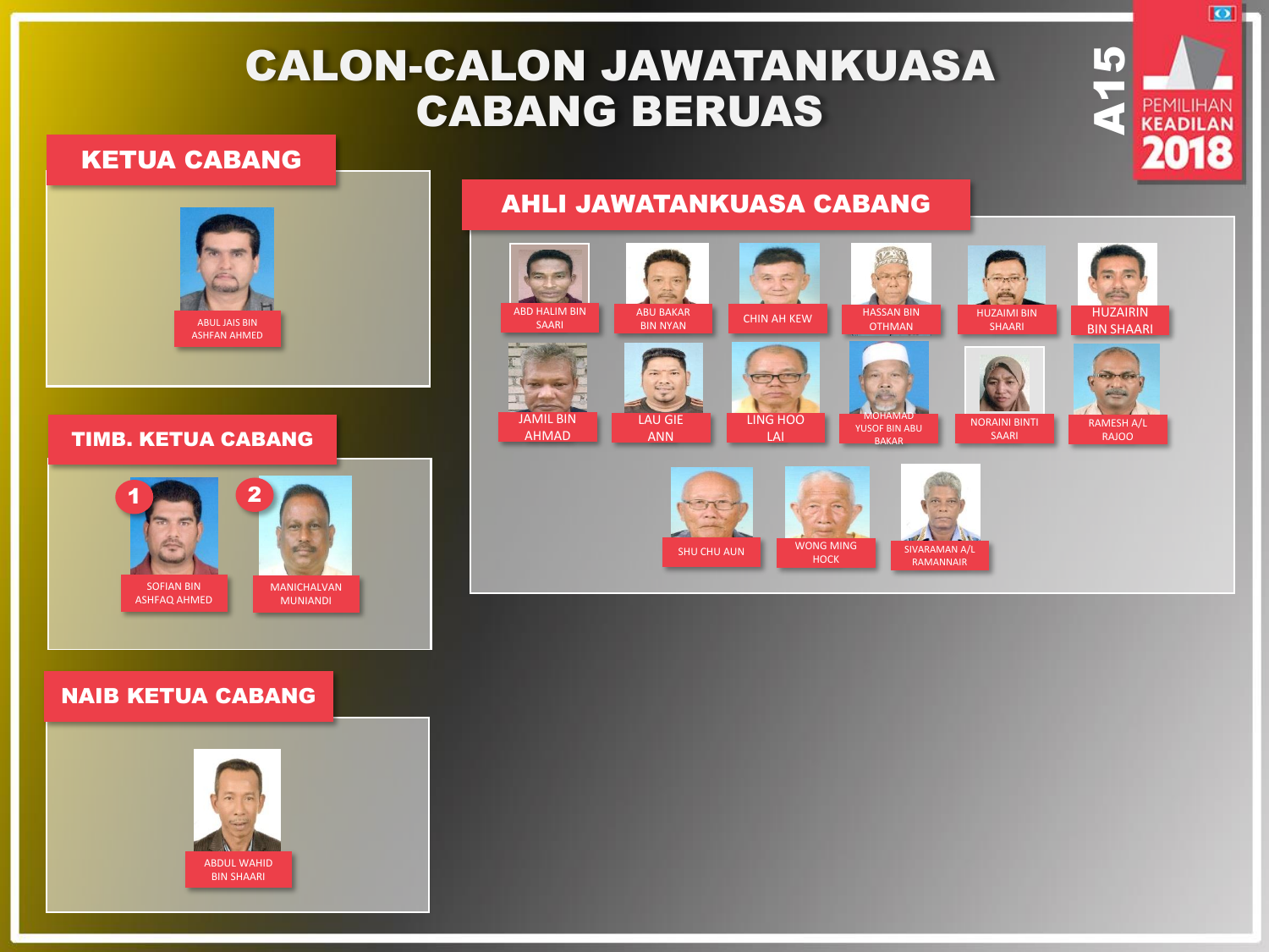# CALON-CALON JAWATANKUASA CABANG BERUAS

### KETUA CABANG



#### TIMB. KETUA CABANG



### NAIB KETUA CABANG



## AHLI JAWATANKUASA CABANG







**SHELLAN** 

 $\overline{\bullet}$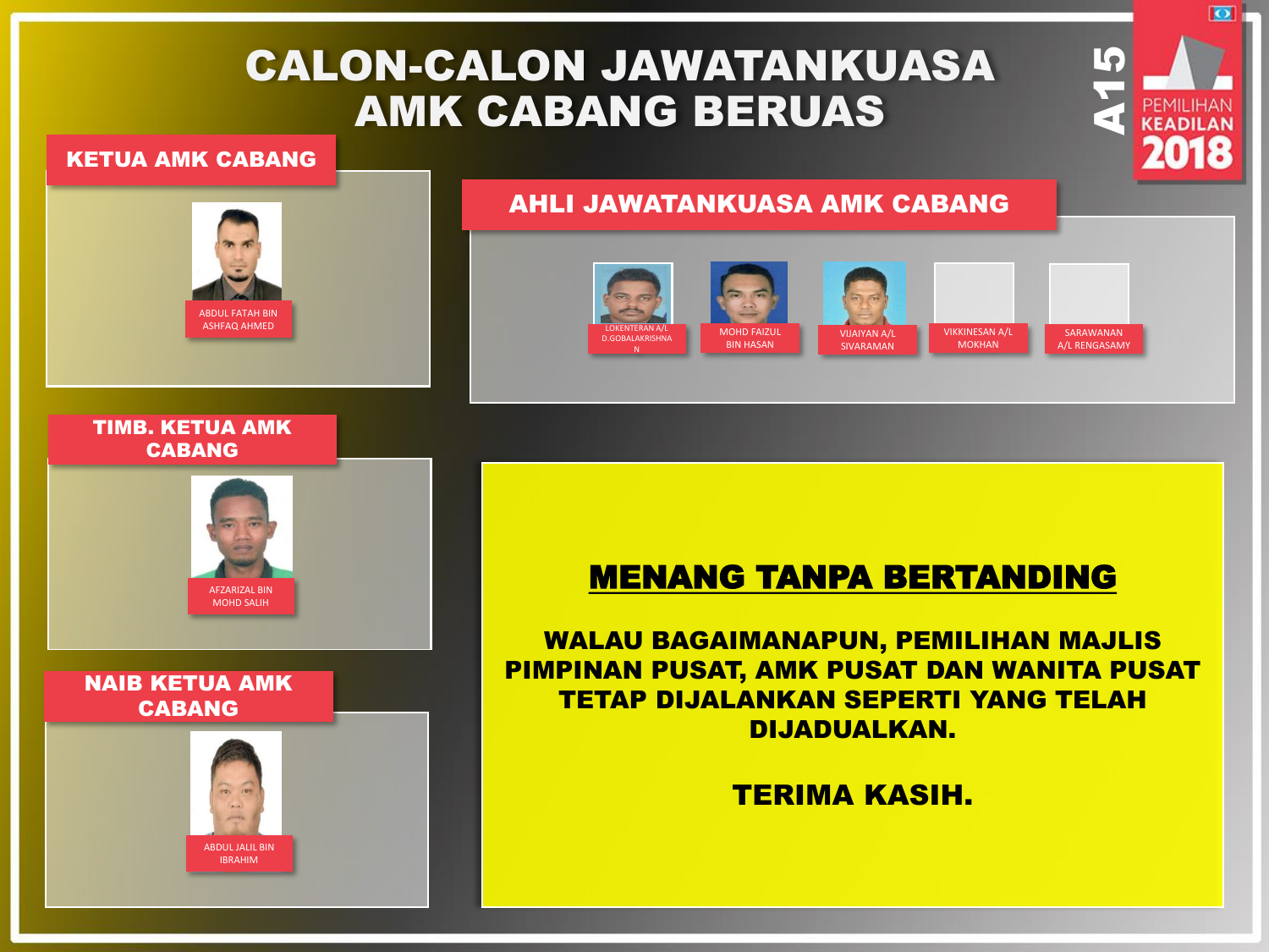# CALON-CALON JAWATANKUASA AMK CABANG BERUAS

### KETUA AMK CABANG



### AHLI JAWATANKUASA AMK CABANG



 $\mathbf{I}_{\mathbf{f}}$ 

ы

### TIMB. KETUA AMK CABANG



### NAIB KETUA AMK CABANG



# MENANG TANPA BERTANDING

WALAU BAGAIMANAPUN, PEMILIHAN MAJLIS PIMPINAN PUSAT, AMK PUSAT DAN WANITA PUSAT TETAP DIJALANKAN SEPERTI YANG TELAH DIJADUALKAN.

### TERIMA KASIH.